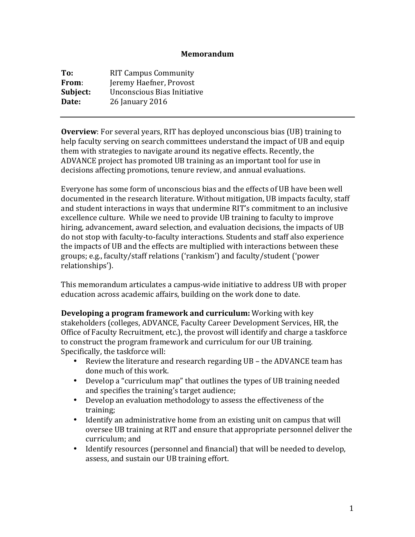## **Memorandum**

| To:      | <b>RIT Campus Community</b> |
|----------|-----------------------------|
| From:    | Jeremy Haefner, Provost     |
| Subject: | Unconscious Bias Initiative |
| Date:    | 26 January 2016             |

**Overview**: For several years, RIT has deployed unconscious bias (UB) training to help faculty serving on search committees understand the impact of UB and equip them with strategies to navigate around its negative effects. Recently, the ADVANCE project has promoted UB training as an important tool for use in decisions affecting promotions, tenure review, and annual evaluations.

Everyone has some form of unconscious bias and the effects of UB have been well documented in the research literature. Without mitigation, UB impacts faculty, staff and student interactions in ways that undermine RIT's commitment to an inclusive excellence culture. While we need to provide UB training to faculty to improve hiring, advancement, award selection, and evaluation decisions, the impacts of UB do not stop with faculty-to-faculty interactions. Students and staff also experience the impacts of UB and the effects are multiplied with interactions between these groups; e.g., faculty/staff relations ('rankism') and faculty/student ('power relationships').

This memorandum articulates a campus-wide initiative to address UB with proper education across academic affairs, building on the work done to date.

**Developing a program framework and curriculum:** Working with key stakeholders (colleges, ADVANCE, Faculty Career Development Services, HR, the Office of Faculty Recruitment, etc.), the provost will identify and charge a taskforce to construct the program framework and curriculum for our UB training. Specifically, the taskforce will:

- Review the literature and research regarding  $UB$  the ADVANCE team has done much of this work.
- Develop a "curriculum map" that outlines the types of UB training needed and specifies the training's target audience;
- Develop an evaluation methodology to assess the effectiveness of the training;
- Identify an administrative home from an existing unit on campus that will oversee UB training at RIT and ensure that appropriate personnel deliver the curriculum; and
- Identify resources (personnel and financial) that will be needed to develop, assess, and sustain our UB training effort.